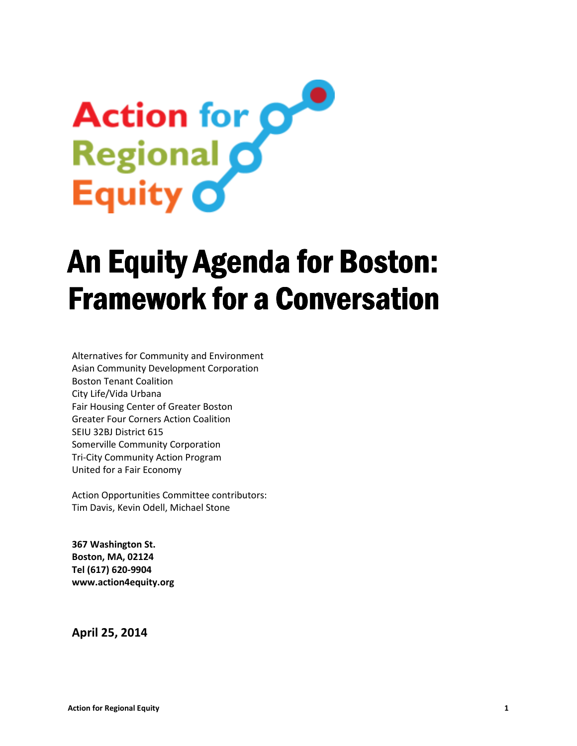# Action for O Equity O

# An Equity Agenda for Boston: Framework for a Conversation Framework for a Conversation

 Boston Tenant Coalition Alternatives for Community and Environment Asian Community Development Corporation City Life/Vida Urbana Fair Housing Center of Greater Boston Greater Four Corners Action Coalition SEIU 32BJ District 615 Somerville Community Corporation Tri-City Community Action Program United for a Fair Economy

Action Opportunities Committee contributors: Tim Davis, Kevin Odell, Michael Stone

367 Washington St. Boston, MA, 02124 Tel (617) 620-9904 www.action4equity.org

April 25, 2014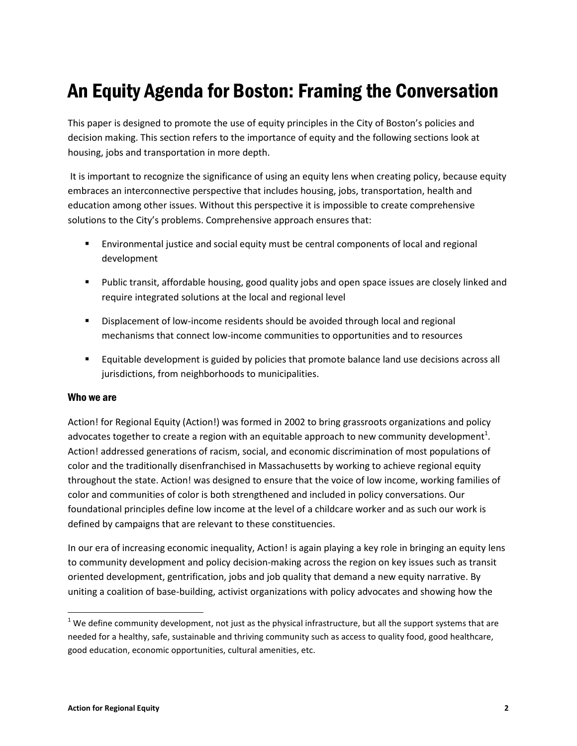# An Equity Agenda for Boston: Framing the Conversation

This paper is designed to promote the use of equity principles in the City of Boston's policies and decision making. This section refers to the importance of equity and the following sections look at housing, jobs and transportation in more depth.

 It is important to recognize the significance of using an equity lens when creating policy, because equity embraces an interconnective perspective that includes housing, jobs, transportation, health and education among other issues. Without this perspective it is impossible to create comprehensive solutions to the City's problems. Comprehensive approach ensures that:

- Environmental justice and social equity must be central components of local and regional development
- Public transit, affordable housing, good quality jobs and open space issues are closely linked and require integrated solutions at the local and regional level
- **Displacement of low-income residents should be avoided through local and regional** mechanisms that connect low-income communities to opportunities and to resources
- **Equitable development is guided by policies that promote balance land use decisions across all** jurisdictions, from neighborhoods to municipalities.

#### Who we are

Action! for Regional Equity (Action!) was formed in 2002 to bring grassroots organizations and policy advocates together to create a region with an equitable approach to new community development<sup>1</sup>. Action! addressed generations of racism, social, and economic discrimination of most populations of color and the traditionally disenfranchised in Massachusetts by working to achieve regional equity throughout the state. Action! was designed to ensure that the voice of low income, working families of color and communities of color is both strengthened and included in policy conversations. Our foundational principles define low income at the level of a childcare worker and as such our work is defined by campaigns that are relevant to these constituencies.

In our era of increasing economic inequality, Action! is again playing a key role in bringing an equity lens to community development and policy decision-making across the region on key issues such as transit oriented development, gentrification, jobs and job quality that demand a new equity narrative. By uniting a coalition of base-building, activist organizations with policy advocates and showing how the

l

 $1$  We define community development, not just as the physical infrastructure, but all the support systems that are needed for a healthy, safe, sustainable and thriving community such as access to quality food, good healthcare, good education, economic opportunities, cultural amenities, etc.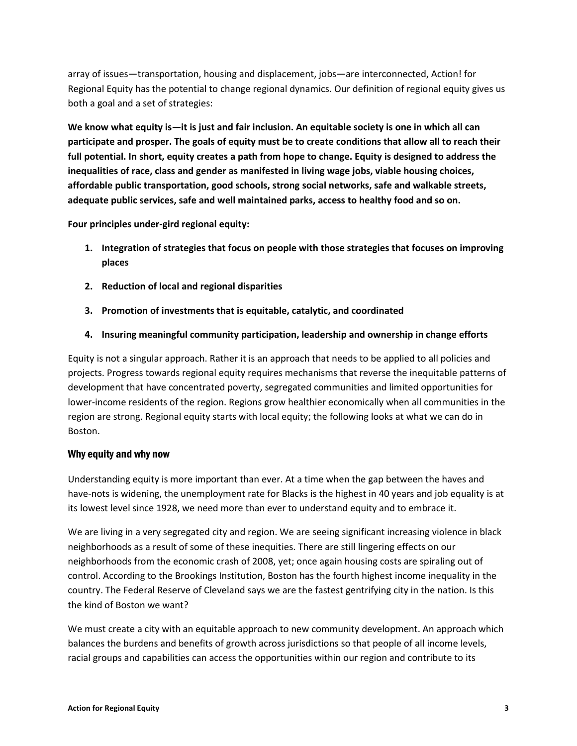array of issues—transportation, housing and displacement, jobs—are interconnected, Action! for Regional Equity has the potential to change regional dynamics. Our definition of regional equity gives us both a goal and a set of strategies:

We know what equity is—it is just and fair inclusion. An equitable society is one in which all can participate and prosper. The goals of equity must be to create conditions that allow all to reach their full potential. In short, equity creates a path from hope to change. Equity is designed to address the inequalities of race, class and gender as manifested in living wage jobs, viable housing choices, affordable public transportation, good schools, strong social networks, safe and walkable streets, adequate public services, safe and well maintained parks, access to healthy food and so on.

Four principles under-gird regional equity:

- 1. Integration of strategies that focus on people with those strategies that focuses on improving places
- 2. Reduction of local and regional disparities
- 3. Promotion of investments that is equitable, catalytic, and coordinated
- 4. Insuring meaningful community participation, leadership and ownership in change efforts

Equity is not a singular approach. Rather it is an approach that needs to be applied to all policies and projects. Progress towards regional equity requires mechanisms that reverse the inequitable patterns of development that have concentrated poverty, segregated communities and limited opportunities for lower-income residents of the region. Regions grow healthier economically when all communities in the region are strong. Regional equity starts with local equity; the following looks at what we can do in Boston.

#### Why equity and why now

Understanding equity is more important than ever. At a time when the gap between the haves and have-nots is widening, the unemployment rate for Blacks is the highest in 40 years and job equality is at its lowest level since 1928, we need more than ever to understand equity and to embrace it.

We are living in a very segregated city and region. We are seeing significant increasing violence in black neighborhoods as a result of some of these inequities. There are still lingering effects on our neighborhoods from the economic crash of 2008, yet; once again housing costs are spiraling out of control. According to the Brookings Institution, Boston has the fourth highest income inequality in the country. The Federal Reserve of Cleveland says we are the fastest gentrifying city in the nation. Is this the kind of Boston we want?

We must create a city with an equitable approach to new community development. An approach which balances the burdens and benefits of growth across jurisdictions so that people of all income levels, racial groups and capabilities can access the opportunities within our region and contribute to its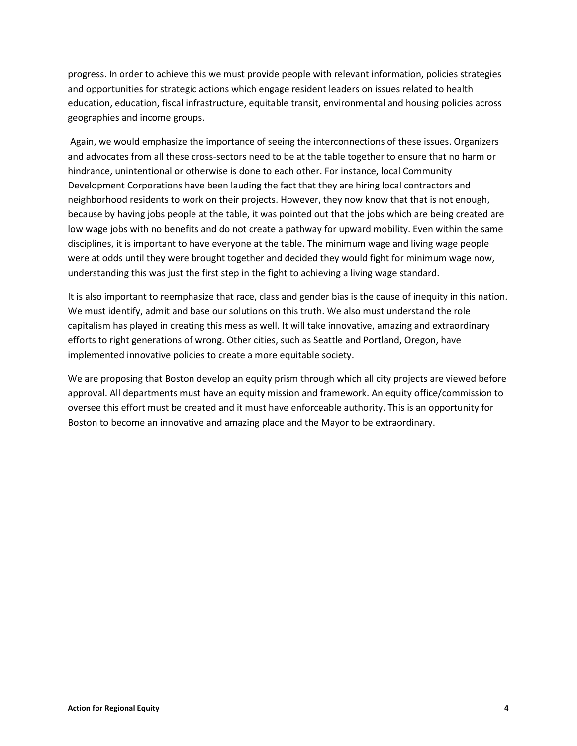progress. In order to achieve this we must provide people with relevant information, policies strategies and opportunities for strategic actions which engage resident leaders on issues related to health education, education, fiscal infrastructure, equitable transit, environmental and housing policies across geographies and income groups.

 Again, we would emphasize the importance of seeing the interconnections of these issues. Organizers and advocates from all these cross-sectors need to be at the table together to ensure that no harm or hindrance, unintentional or otherwise is done to each other. For instance, local Community Development Corporations have been lauding the fact that they are hiring local contractors and neighborhood residents to work on their projects. However, they now know that that is not enough, because by having jobs people at the table, it was pointed out that the jobs which are being created are low wage jobs with no benefits and do not create a pathway for upward mobility. Even within the same disciplines, it is important to have everyone at the table. The minimum wage and living wage people were at odds until they were brought together and decided they would fight for minimum wage now, understanding this was just the first step in the fight to achieving a living wage standard.

It is also important to reemphasize that race, class and gender bias is the cause of inequity in this nation. We must identify, admit and base our solutions on this truth. We also must understand the role capitalism has played in creating this mess as well. It will take innovative, amazing and extraordinary efforts to right generations of wrong. Other cities, such as Seattle and Portland, Oregon, have implemented innovative policies to create a more equitable society.

We are proposing that Boston develop an equity prism through which all city projects are viewed before approval. All departments must have an equity mission and framework. An equity office/commission to oversee this effort must be created and it must have enforceable authority. This is an opportunity for Boston to become an innovative and amazing place and the Mayor to be extraordinary.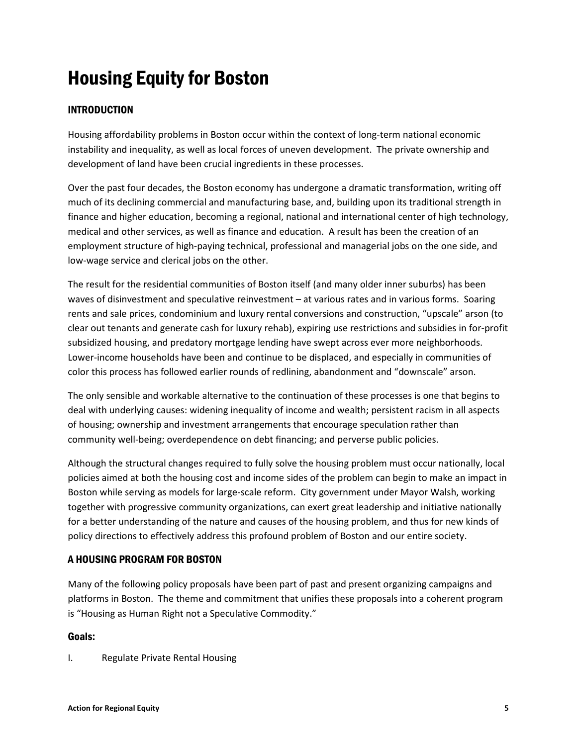# Housing Equity for Boston

# INTRODUCTION

Housing affordability problems in Boston occur within the context of long-term national economic instability and inequality, as well as local forces of uneven development. The private ownership and development of land have been crucial ingredients in these processes.

Over the past four decades, the Boston economy has undergone a dramatic transformation, writing off much of its declining commercial and manufacturing base, and, building upon its traditional strength in finance and higher education, becoming a regional, national and international center of high technology, medical and other services, as well as finance and education. A result has been the creation of an employment structure of high-paying technical, professional and managerial jobs on the one side, and low-wage service and clerical jobs on the other.

The result for the residential communities of Boston itself (and many older inner suburbs) has been waves of disinvestment and speculative reinvestment – at various rates and in various forms. Soaring rents and sale prices, condominium and luxury rental conversions and construction, "upscale" arson (to clear out tenants and generate cash for luxury rehab), expiring use restrictions and subsidies in for-profit subsidized housing, and predatory mortgage lending have swept across ever more neighborhoods. Lower-income households have been and continue to be displaced, and especially in communities of color this process has followed earlier rounds of redlining, abandonment and "downscale" arson.

The only sensible and workable alternative to the continuation of these processes is one that begins to deal with underlying causes: widening inequality of income and wealth; persistent racism in all aspects of housing; ownership and investment arrangements that encourage speculation rather than community well-being; overdependence on debt financing; and perverse public policies.

Although the structural changes required to fully solve the housing problem must occur nationally, local policies aimed at both the housing cost and income sides of the problem can begin to make an impact in Boston while serving as models for large-scale reform. City government under Mayor Walsh, working together with progressive community organizations, can exert great leadership and initiative nationally for a better understanding of the nature and causes of the housing problem, and thus for new kinds of policy directions to effectively address this profound problem of Boston and our entire society.

# A HOUSING PROGRAM FOR BOSTON

Many of the following policy proposals have been part of past and present organizing campaigns and platforms in Boston. The theme and commitment that unifies these proposals into a coherent program is "Housing as Human Right not a Speculative Commodity."

# Goals:

I. Regulate Private Rental Housing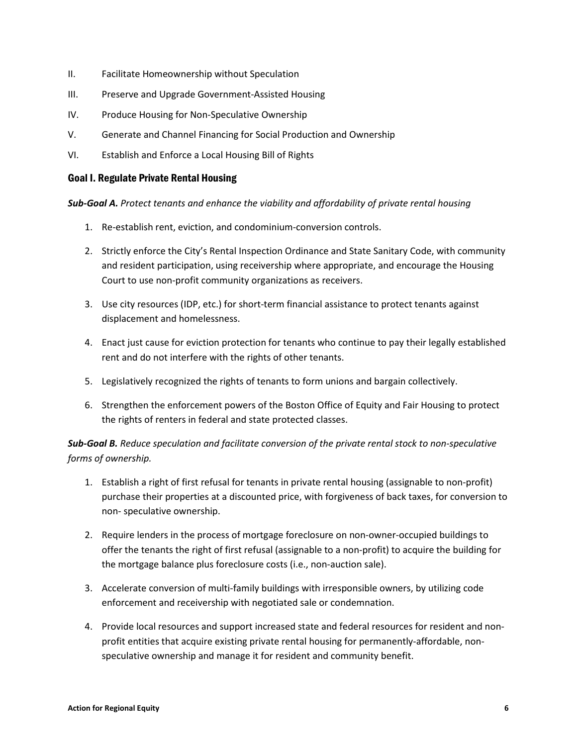- II. Facilitate Homeownership without Speculation
- III. Preserve and Upgrade Government-Assisted Housing
- IV. Produce Housing for Non-Speculative Ownership
- V. Generate and Channel Financing for Social Production and Ownership
- VI. Establish and Enforce a Local Housing Bill of Rights

## Goal I. Regulate Private Rental Housing

Sub-Goal A. Protect tenants and enhance the viability and affordability of private rental housing

- 1. Re-establish rent, eviction, and condominium-conversion controls.
- 2. Strictly enforce the City's Rental Inspection Ordinance and State Sanitary Code, with community and resident participation, using receivership where appropriate, and encourage the Housing Court to use non-profit community organizations as receivers.
- 3. Use city resources (IDP, etc.) for short-term financial assistance to protect tenants against displacement and homelessness.
- 4. Enact just cause for eviction protection for tenants who continue to pay their legally established rent and do not interfere with the rights of other tenants.
- 5. Legislatively recognized the rights of tenants to form unions and bargain collectively.
- 6. Strengthen the enforcement powers of the Boston Office of Equity and Fair Housing to protect the rights of renters in federal and state protected classes.

Sub-Goal B. Reduce speculation and facilitate conversion of the private rental stock to non-speculative forms of ownership.

- 1. Establish a right of first refusal for tenants in private rental housing (assignable to non-profit) purchase their properties at a discounted price, with forgiveness of back taxes, for conversion to non- speculative ownership.
- 2. Require lenders in the process of mortgage foreclosure on non-owner-occupied buildings to offer the tenants the right of first refusal (assignable to a non-profit) to acquire the building for the mortgage balance plus foreclosure costs (i.e., non-auction sale).
- 3. Accelerate conversion of multi-family buildings with irresponsible owners, by utilizing code enforcement and receivership with negotiated sale or condemnation.
- 4. Provide local resources and support increased state and federal resources for resident and nonprofit entities that acquire existing private rental housing for permanently-affordable, nonspeculative ownership and manage it for resident and community benefit.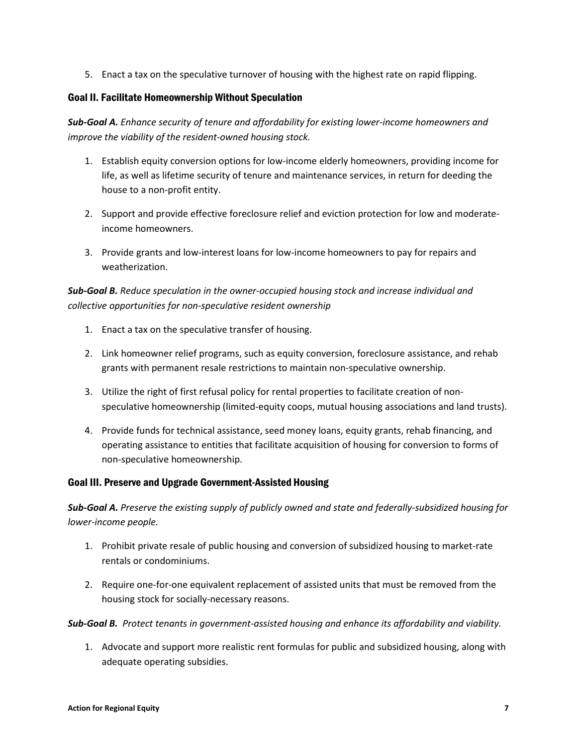5. Enact a tax on the speculative turnover of housing with the highest rate on rapid flipping.

# Goal II. Facilitate Homeownership Without Speculation

Sub-Goal A. Enhance security of tenure and affordability for existing lower-income homeowners and improve the viability of the resident-owned housing stock.

- 1. Establish equity conversion options for low-income elderly homeowners, providing income for life, as well as lifetime security of tenure and maintenance services, in return for deeding the house to a non-profit entity.
- 2. Support and provide effective foreclosure relief and eviction protection for low and moderateincome homeowners.
- 3. Provide grants and low-interest loans for low-income homeowners to pay for repairs and weatherization.

# Sub-Goal B. Reduce speculation in the owner-occupied housing stock and increase individual and collective opportunities for non-speculative resident ownership

- 1. Enact a tax on the speculative transfer of housing.
- 2. Link homeowner relief programs, such as equity conversion, foreclosure assistance, and rehab grants with permanent resale restrictions to maintain non-speculative ownership.
- 3. Utilize the right of first refusal policy for rental properties to facilitate creation of nonspeculative homeownership (limited-equity coops, mutual housing associations and land trusts).
- 4. Provide funds for technical assistance, seed money loans, equity grants, rehab financing, and operating assistance to entities that facilitate acquisition of housing for conversion to forms of non-speculative homeownership.

# Goal III. Preserve and Upgrade Government-Assisted Housing

Sub-Goal A. Preserve the existing supply of publicly owned and state and federally-subsidized housing for lower-income people.

- 1. Prohibit private resale of public housing and conversion of subsidized housing to market-rate rentals or condominiums.
- 2. Require one-for-one equivalent replacement of assisted units that must be removed from the housing stock for socially-necessary reasons.

#### Sub-Goal B. Protect tenants in government-assisted housing and enhance its affordability and viability.

1. Advocate and support more realistic rent formulas for public and subsidized housing, along with adequate operating subsidies.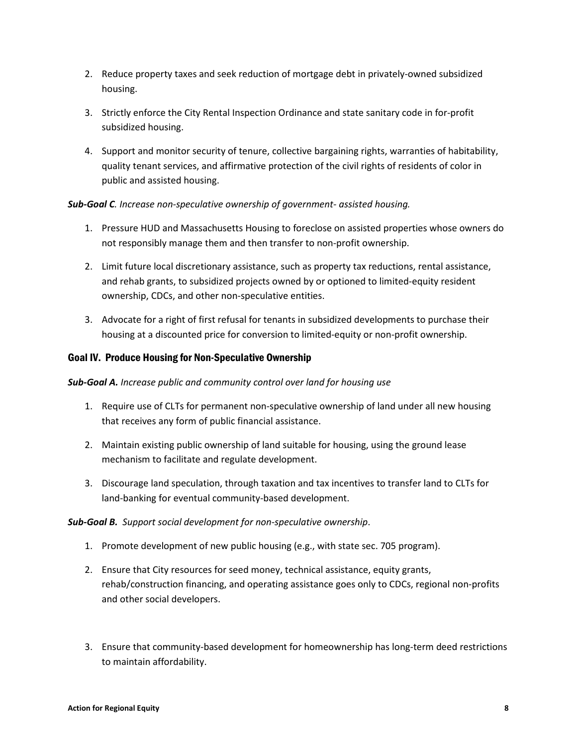- 2. Reduce property taxes and seek reduction of mortgage debt in privately-owned subsidized housing.
- 3. Strictly enforce the City Rental Inspection Ordinance and state sanitary code in for-profit subsidized housing.
- 4. Support and monitor security of tenure, collective bargaining rights, warranties of habitability, quality tenant services, and affirmative protection of the civil rights of residents of color in public and assisted housing.

## Sub-Goal C. Increase non-speculative ownership of government- assisted housing.

- 1. Pressure HUD and Massachusetts Housing to foreclose on assisted properties whose owners do not responsibly manage them and then transfer to non-profit ownership.
- 2. Limit future local discretionary assistance, such as property tax reductions, rental assistance, and rehab grants, to subsidized projects owned by or optioned to limited-equity resident ownership, CDCs, and other non-speculative entities.
- 3. Advocate for a right of first refusal for tenants in subsidized developments to purchase their housing at a discounted price for conversion to limited-equity or non-profit ownership.

## Goal IV. Produce Housing for Non-Speculative Ownership

#### Sub-Goal A. Increase public and community control over land for housing use

- 1. Require use of CLTs for permanent non-speculative ownership of land under all new housing that receives any form of public financial assistance.
- 2. Maintain existing public ownership of land suitable for housing, using the ground lease mechanism to facilitate and regulate development.
- 3. Discourage land speculation, through taxation and tax incentives to transfer land to CLTs for land-banking for eventual community-based development.

#### Sub-Goal B. Support social development for non-speculative ownership.

- 1. Promote development of new public housing (e.g., with state sec. 705 program).
- 2. Ensure that City resources for seed money, technical assistance, equity grants, rehab/construction financing, and operating assistance goes only to CDCs, regional non-profits and other social developers.
- 3. Ensure that community-based development for homeownership has long-term deed restrictions to maintain affordability.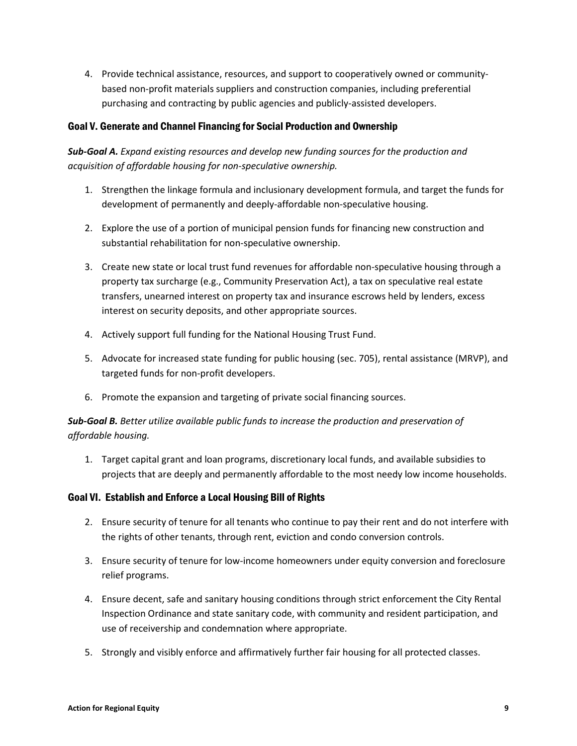4. Provide technical assistance, resources, and support to cooperatively owned or communitybased non-profit materials suppliers and construction companies, including preferential purchasing and contracting by public agencies and publicly-assisted developers.

# Goal V. Generate and Channel Financing for Social Production and Ownership

# Sub-Goal A. Expand existing resources and develop new funding sources for the production and acquisition of affordable housing for non-speculative ownership.

- 1. Strengthen the linkage formula and inclusionary development formula, and target the funds for development of permanently and deeply-affordable non-speculative housing.
- 2. Explore the use of a portion of municipal pension funds for financing new construction and substantial rehabilitation for non-speculative ownership.
- 3. Create new state or local trust fund revenues for affordable non-speculative housing through a property tax surcharge (e.g., Community Preservation Act), a tax on speculative real estate transfers, unearned interest on property tax and insurance escrows held by lenders, excess interest on security deposits, and other appropriate sources.
- 4. Actively support full funding for the National Housing Trust Fund.
- 5. Advocate for increased state funding for public housing (sec. 705), rental assistance (MRVP), and targeted funds for non-profit developers.
- 6. Promote the expansion and targeting of private social financing sources.

# Sub-Goal B. Better utilize available public funds to increase the production and preservation of affordable housing.

1. Target capital grant and loan programs, discretionary local funds, and available subsidies to projects that are deeply and permanently affordable to the most needy low income households.

# Goal VI. Establish and Enforce a Local Housing Bill of Rights

- 2. Ensure security of tenure for all tenants who continue to pay their rent and do not interfere with the rights of other tenants, through rent, eviction and condo conversion controls.
- 3. Ensure security of tenure for low-income homeowners under equity conversion and foreclosure relief programs.
- 4. Ensure decent, safe and sanitary housing conditions through strict enforcement the City Rental Inspection Ordinance and state sanitary code, with community and resident participation, and use of receivership and condemnation where appropriate.
- 5. Strongly and visibly enforce and affirmatively further fair housing for all protected classes.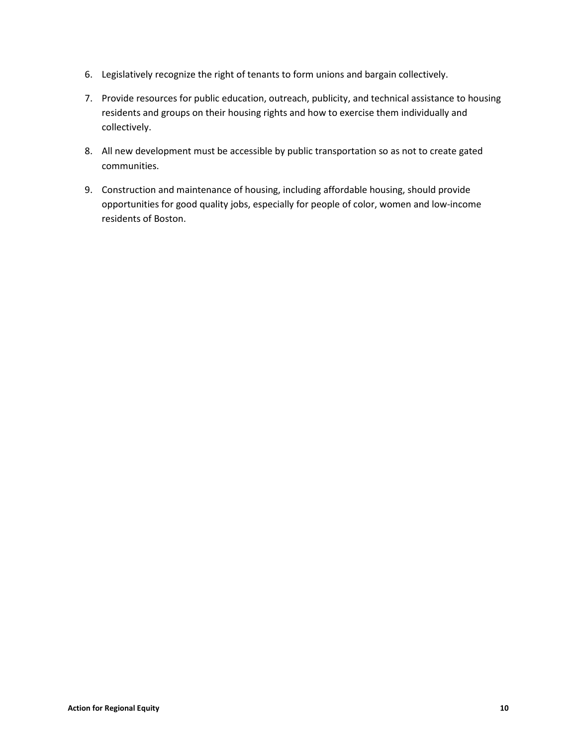- 6. Legislatively recognize the right of tenants to form unions and bargain collectively.
- 7. Provide resources for public education, outreach, publicity, and technical assistance to housing residents and groups on their housing rights and how to exercise them individually and collectively.
- 8. All new development must be accessible by public transportation so as not to create gated communities.
- 9. Construction and maintenance of housing, including affordable housing, should provide opportunities for good quality jobs, especially for people of color, women and low-income residents of Boston.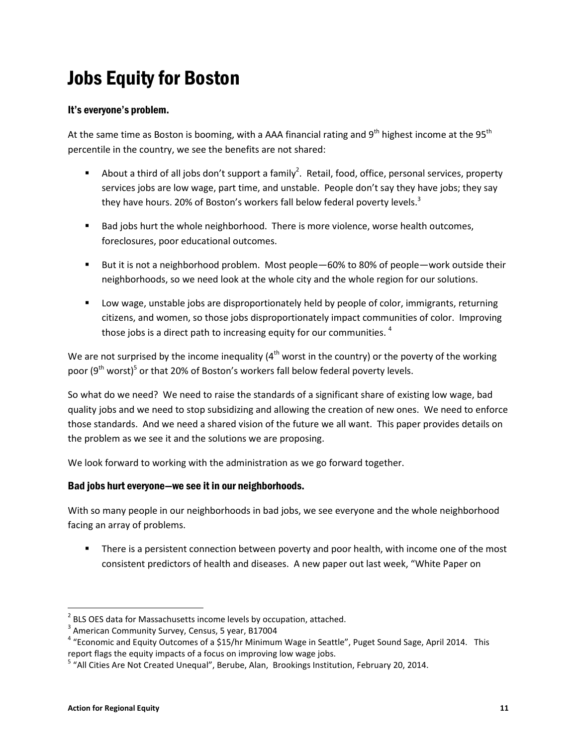# Jobs Equity for Boston

# It's everyone's problem.

At the same time as Boston is booming, with a AAA financial rating and  $9^{th}$  highest income at the  $95^{th}$ percentile in the country, we see the benefits are not shared:

- About a third of all jobs don't support a family<sup>2</sup>. Retail, food, office, personal services, property services jobs are low wage, part time, and unstable. People don't say they have jobs; they say they have hours. 20% of Boston's workers fall below federal poverty levels.<sup>3</sup>
- **Bad jobs hurt the whole neighborhood. There is more violence, worse health outcomes,** foreclosures, poor educational outcomes.
- But it is not a neighborhood problem. Most people—60% to 80% of people—work outside their neighborhoods, so we need look at the whole city and the whole region for our solutions.
- Low wage, unstable jobs are disproportionately held by people of color, immigrants, returning citizens, and women, so those jobs disproportionately impact communities of color. Improving those jobs is a direct path to increasing equity for our communities.<sup>4</sup>

We are not surprised by the income inequality ( $4<sup>th</sup>$  worst in the country) or the poverty of the working poor (9<sup>th</sup> worst)<sup>5</sup> or that 20% of Boston's workers fall below federal poverty levels.

So what do we need? We need to raise the standards of a significant share of existing low wage, bad quality jobs and we need to stop subsidizing and allowing the creation of new ones. We need to enforce those standards. And we need a shared vision of the future we all want. This paper provides details on the problem as we see it and the solutions we are proposing.

We look forward to working with the administration as we go forward together.

# Bad jobs hurt everyone—we see it in our neighborhoods.

With so many people in our neighborhoods in bad jobs, we see everyone and the whole neighborhood facing an array of problems.

**There is a persistent connection between poverty and poor health, with income one of the most** consistent predictors of health and diseases. A new paper out last week, "White Paper on

 $2^{2}$  BLS OES data for Massachusetts income levels by occupation, attached.

<sup>&</sup>lt;sup>3</sup> American Community Survey, Census, 5 year, B17004

<sup>&</sup>lt;sup>4</sup> "Economic and Equity Outcomes of a \$15/hr Minimum Wage in Seattle", Puget Sound Sage, April 2014. This report flags the equity impacts of a focus on improving low wage jobs.

<sup>&</sup>lt;sup>5</sup> "All Cities Are Not Created Unequal", Berube, Alan, Brookings Institution, February 20, 2014.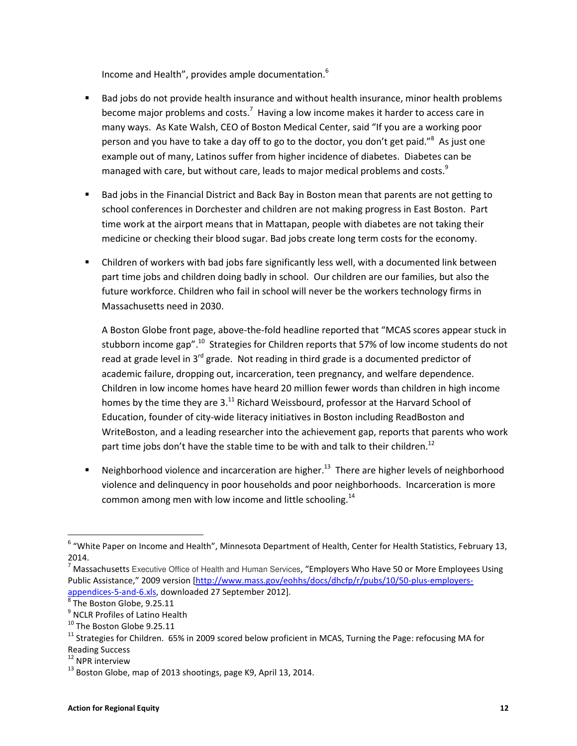Income and Health", provides ample documentation.<sup>6</sup>

- Bad jobs do not provide health insurance and without health insurance, minor health problems become major problems and costs.<sup>7</sup> Having a low income makes it harder to access care in many ways. As Kate Walsh, CEO of Boston Medical Center, said "If you are a working poor person and you have to take a day off to go to the doctor, you don't get paid."<sup>8</sup> As just one example out of many, Latinos suffer from higher incidence of diabetes. Diabetes can be managed with care, but without care, leads to major medical problems and costs. $9$
- Bad jobs in the Financial District and Back Bay in Boston mean that parents are not getting to school conferences in Dorchester and children are not making progress in East Boston. Part time work at the airport means that in Mattapan, people with diabetes are not taking their medicine or checking their blood sugar. Bad jobs create long term costs for the economy.
- Children of workers with bad jobs fare significantly less well, with a documented link between part time jobs and children doing badly in school. Our children are our families, but also the future workforce. Children who fail in school will never be the workers technology firms in Massachusetts need in 2030.

A Boston Globe front page, above-the-fold headline reported that "MCAS scores appear stuck in stubborn income gap".<sup>10</sup> Strategies for Children reports that 57% of low income students do not read at grade level in 3<sup>rd</sup> grade. Not reading in third grade is a documented predictor of academic failure, dropping out, incarceration, teen pregnancy, and welfare dependence. Children in low income homes have heard 20 million fewer words than children in high income homes by the time they are  $3<sup>11</sup>$  Richard Weissbourd, professor at the Harvard School of Education, founder of city-wide literacy initiatives in Boston including ReadBoston and WriteBoston, and a leading researcher into the achievement gap, reports that parents who work part time jobs don't have the stable time to be with and talk to their children.<sup>12</sup>

Neighborhood violence and incarceration are higher.<sup>13</sup> There are higher levels of neighborhood violence and delinquency in poor households and poor neighborhoods. Incarceration is more common among men with low income and little schooling.<sup>14</sup>

<sup>&</sup>lt;sup>6</sup> "White Paper on Income and Health", Minnesota Department of Health, Center for Health Statistics, February 13, 2014.

<sup>&</sup>lt;sup>7</sup> Massachusetts Executive Office of Health and Human Services, "Employers Who Have 50 or More Employees Using Public Assistance," 2009 version [http://www.mass.gov/eohhs/docs/dhcfp/r/pubs/10/50-plus-employersappendices-5-and-6.xls, downloaded 27 September 2012].

 $^8$  The Boston Globe, 9.25.11

<sup>&</sup>lt;sup>9</sup> NCLR Profiles of Latino Health

<sup>&</sup>lt;sup>10</sup> The Boston Globe 9.25.11

<sup>&</sup>lt;sup>11</sup> Strategies for Children. 65% in 2009 scored below proficient in MCAS, Turning the Page: refocusing MA for Reading Success

<sup>&</sup>lt;sup>12</sup> NPR interview

 $13$  Boston Globe, map of 2013 shootings, page K9, April 13, 2014.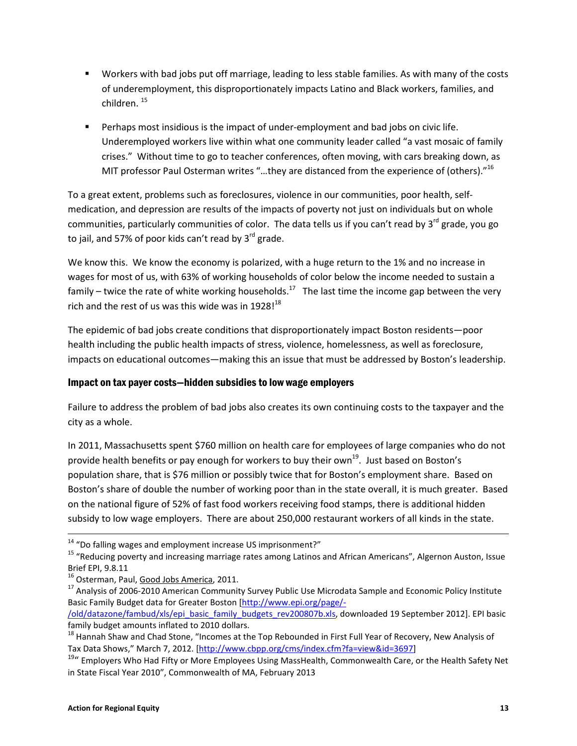- Workers with bad jobs put off marriage, leading to less stable families. As with many of the costs of underemployment, this disproportionately impacts Latino and Black workers, families, and children. <sup>15</sup>
- **Perhaps most insidious is the impact of under-employment and bad jobs on civic life.** Underemployed workers live within what one community leader called "a vast mosaic of family crises." Without time to go to teacher conferences, often moving, with cars breaking down, as MIT professor Paul Osterman writes "...they are distanced from the experience of (others)." $^{16}$

To a great extent, problems such as foreclosures, violence in our communities, poor health, selfmedication, and depression are results of the impacts of poverty not just on individuals but on whole communities, particularly communities of color. The data tells us if you can't read by 3<sup>rd</sup> grade, you go to jail, and 57% of poor kids can't read by  $3^{rd}$  grade.

We know this. We know the economy is polarized, with a huge return to the 1% and no increase in wages for most of us, with 63% of working households of color below the income needed to sustain a family – twice the rate of white working households.<sup>17</sup> The last time the income gap between the very rich and the rest of us was this wide was in  $1928!^{18}$ 

The epidemic of bad jobs create conditions that disproportionately impact Boston residents—poor health including the public health impacts of stress, violence, homelessness, as well as foreclosure, impacts on educational outcomes—making this an issue that must be addressed by Boston's leadership.

# Impact on tax payer costs—hidden subsidies to low wage employers

Failure to address the problem of bad jobs also creates its own continuing costs to the taxpayer and the city as a whole.

In 2011, Massachusetts spent \$760 million on health care for employees of large companies who do not provide health benefits or pay enough for workers to buy their own<sup>19</sup>. Just based on Boston's population share, that is \$76 million or possibly twice that for Boston's employment share. Based on Boston's share of double the number of working poor than in the state overall, it is much greater. Based on the national figure of 52% of fast food workers receiving food stamps, there is additional hidden subsidy to low wage employers. There are about 250,000 restaurant workers of all kinds in the state.

l

<sup>14</sup> "Do falling wages and employment increase US imprisonment?"

<sup>&</sup>lt;sup>15</sup> "Reducing poverty and increasing marriage rates among Latinos and African Americans", Algernon Auston, Issue Brief EPI, 9.8.11

<sup>&</sup>lt;sup>16</sup> Osterman, Paul, Good Jobs America, 2011.

<sup>&</sup>lt;sup>17</sup> Analysis of 2006-2010 American Community Survey Public Use Microdata Sample and Economic Policy Institute Basic Family Budget data for Greater Boston [http://www.epi.org/page/-

<sup>/</sup>old/datazone/fambud/xls/epi\_basic\_family\_budgets\_rev200807b.xls, downloaded 19 September 2012]. EPI basic family budget amounts inflated to 2010 dollars.

<sup>&</sup>lt;sup>18</sup> Hannah Shaw and Chad Stone, "Incomes at the Top Rebounded in First Full Year of Recovery, New Analysis of Tax Data Shows," March 7, 2012. [http://www.cbpp.org/cms/index.cfm?fa=view&id=3697]

<sup>&</sup>lt;sup>19</sup>" Employers Who Had Fifty or More Employees Using MassHealth, Commonwealth Care, or the Health Safety Net in State Fiscal Year 2010", Commonwealth of MA, February 2013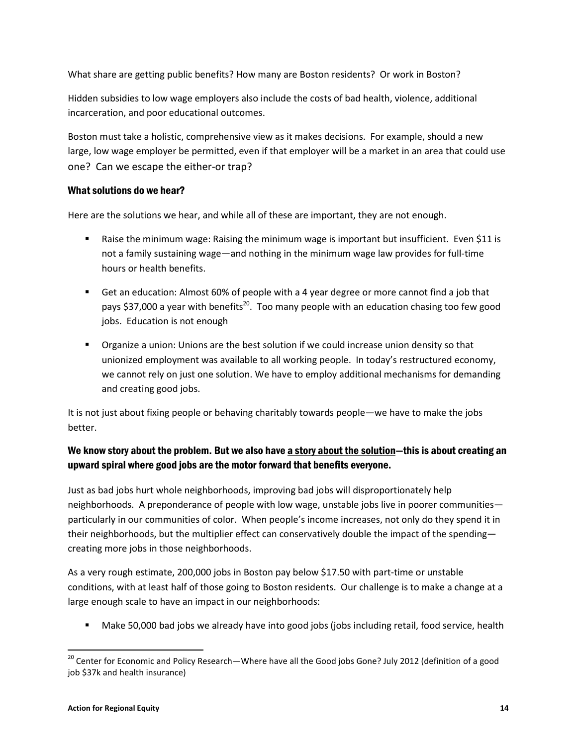What share are getting public benefits? How many are Boston residents? Or work in Boston?

Hidden subsidies to low wage employers also include the costs of bad health, violence, additional incarceration, and poor educational outcomes.

Boston must take a holistic, comprehensive view as it makes decisions. For example, should a new large, low wage employer be permitted, even if that employer will be a market in an area that could use one? Can we escape the either-or trap?

# What solutions do we hear?

Here are the solutions we hear, and while all of these are important, they are not enough.

- Raise the minimum wage: Raising the minimum wage is important but insufficient. Even \$11 is not a family sustaining wage—and nothing in the minimum wage law provides for full-time hours or health benefits.
- Get an education: Almost 60% of people with a 4 year degree or more cannot find a job that pays \$37,000 a year with benefits<sup>20</sup>. Too many people with an education chasing too few good jobs. Education is not enough
- Organize a union: Unions are the best solution if we could increase union density so that unionized employment was available to all working people. In today's restructured economy, we cannot rely on just one solution. We have to employ additional mechanisms for demanding and creating good jobs.

It is not just about fixing people or behaving charitably towards people—we have to make the jobs better.

# We know story about the problem. But we also have a story about the solution-this is about creating an upward spiral where good jobs are the motor forward that benefits everyone.

Just as bad jobs hurt whole neighborhoods, improving bad jobs will disproportionately help neighborhoods. A preponderance of people with low wage, unstable jobs live in poorer communities particularly in our communities of color. When people's income increases, not only do they spend it in their neighborhoods, but the multiplier effect can conservatively double the impact of the spending creating more jobs in those neighborhoods.

As a very rough estimate, 200,000 jobs in Boston pay below \$17.50 with part-time or unstable conditions, with at least half of those going to Boston residents. Our challenge is to make a change at a large enough scale to have an impact in our neighborhoods:

Make 50,000 bad jobs we already have into good jobs (jobs including retail, food service, health

 $\overline{a}$ 

<sup>&</sup>lt;sup>20</sup> Center for Economic and Policy Research—Where have all the Good jobs Gone? July 2012 (definition of a good job \$37k and health insurance)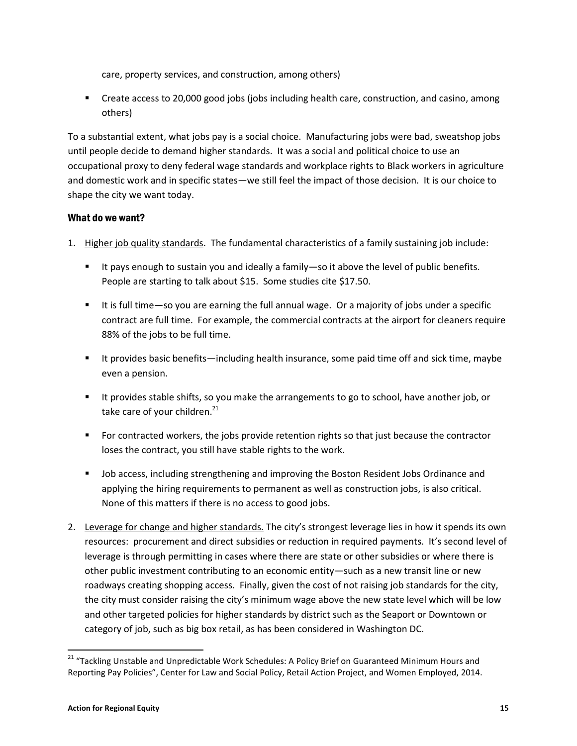care, property services, and construction, among others)

**EXP** Create access to 20,000 good jobs (jobs including health care, construction, and casino, among others)

To a substantial extent, what jobs pay is a social choice. Manufacturing jobs were bad, sweatshop jobs until people decide to demand higher standards. It was a social and political choice to use an occupational proxy to deny federal wage standards and workplace rights to Black workers in agriculture and domestic work and in specific states—we still feel the impact of those decision. It is our choice to shape the city we want today.

# What do we want?

- 1. Higher job quality standards. The fundamental characteristics of a family sustaining job include:
	- It pays enough to sustain you and ideally a family—so it above the level of public benefits. People are starting to talk about \$15. Some studies cite \$17.50.
	- It is full time—so you are earning the full annual wage. Or a majority of jobs under a specific contract are full time. For example, the commercial contracts at the airport for cleaners require 88% of the jobs to be full time.
	- It provides basic benefits—including health insurance, some paid time off and sick time, maybe even a pension.
	- It provides stable shifts, so you make the arrangements to go to school, have another job, or take care of your children.<sup>21</sup>
	- For contracted workers, the jobs provide retention rights so that just because the contractor loses the contract, you still have stable rights to the work.
	- **DED** Job access, including strengthening and improving the Boston Resident Jobs Ordinance and applying the hiring requirements to permanent as well as construction jobs, is also critical. None of this matters if there is no access to good jobs.
- 2. Leverage for change and higher standards. The city's strongest leverage lies in how it spends its own resources: procurement and direct subsidies or reduction in required payments. It's second level of leverage is through permitting in cases where there are state or other subsidies or where there is other public investment contributing to an economic entity—such as a new transit line or new roadways creating shopping access. Finally, given the cost of not raising job standards for the city, the city must consider raising the city's minimum wage above the new state level which will be low and other targeted policies for higher standards by district such as the Seaport or Downtown or category of job, such as big box retail, as has been considered in Washington DC.

 $\overline{a}$ 

<sup>&</sup>lt;sup>21</sup> "Tackling Unstable and Unpredictable Work Schedules: A Policy Brief on Guaranteed Minimum Hours and Reporting Pay Policies", Center for Law and Social Policy, Retail Action Project, and Women Employed, 2014.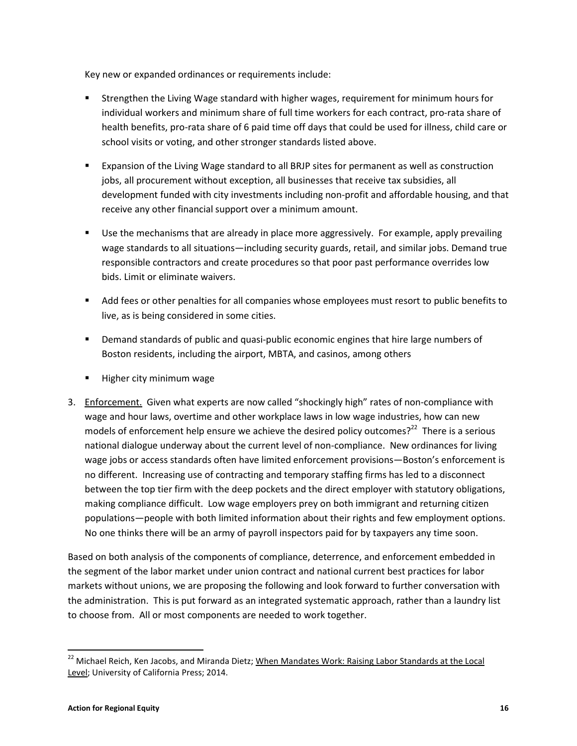Key new or expanded ordinances or requirements include:

- Strengthen the Living Wage standard with higher wages, requirement for minimum hours for individual workers and minimum share of full time workers for each contract, pro-rata share of health benefits, pro-rata share of 6 paid time off days that could be used for illness, child care or school visits or voting, and other stronger standards listed above.
- Expansion of the Living Wage standard to all BRJP sites for permanent as well as construction jobs, all procurement without exception, all businesses that receive tax subsidies, all development funded with city investments including non-profit and affordable housing, and that receive any other financial support over a minimum amount.
- **Use the mechanisms that are already in place more aggressively. For example, apply prevailing** wage standards to all situations—including security guards, retail, and similar jobs. Demand true responsible contractors and create procedures so that poor past performance overrides low bids. Limit or eliminate waivers.
- **Add fees or other penalties for all companies whose employees must resort to public benefits to** live, as is being considered in some cities.
- Demand standards of public and quasi-public economic engines that hire large numbers of Boston residents, including the airport, MBTA, and casinos, among others
- Higher city minimum wage
- 3. Enforcement. Given what experts are now called "shockingly high" rates of non-compliance with wage and hour laws, overtime and other workplace laws in low wage industries, how can new models of enforcement help ensure we achieve the desired policy outcomes?<sup>22</sup> There is a serious national dialogue underway about the current level of non-compliance. New ordinances for living wage jobs or access standards often have limited enforcement provisions—Boston's enforcement is no different. Increasing use of contracting and temporary staffing firms has led to a disconnect between the top tier firm with the deep pockets and the direct employer with statutory obligations, making compliance difficult. Low wage employers prey on both immigrant and returning citizen populations—people with both limited information about their rights and few employment options. No one thinks there will be an army of payroll inspectors paid for by taxpayers any time soon.

Based on both analysis of the components of compliance, deterrence, and enforcement embedded in the segment of the labor market under union contract and national current best practices for labor markets without unions, we are proposing the following and look forward to further conversation with the administration. This is put forward as an integrated systematic approach, rather than a laundry list to choose from. All or most components are needed to work together.

l

<sup>&</sup>lt;sup>22</sup> Michael Reich, Ken Jacobs, and Miranda Dietz; When Mandates Work: Raising Labor Standards at the Local Level; University of California Press; 2014.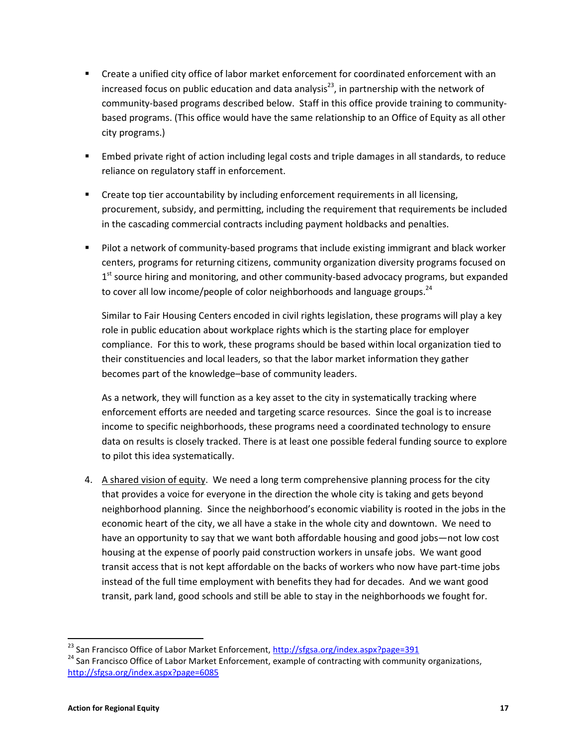- Create a unified city office of labor market enforcement for coordinated enforcement with an increased focus on public education and data analysis<sup>23</sup>, in partnership with the network of community-based programs described below. Staff in this office provide training to communitybased programs. (This office would have the same relationship to an Office of Equity as all other city programs.)
- Embed private right of action including legal costs and triple damages in all standards, to reduce reliance on regulatory staff in enforcement.
- **•** Create top tier accountability by including enforcement requirements in all licensing, procurement, subsidy, and permitting, including the requirement that requirements be included in the cascading commercial contracts including payment holdbacks and penalties.
- **Pilot a network of community-based programs that include existing immigrant and black worker** centers, programs for returning citizens, community organization diversity programs focused on 1<sup>st</sup> source hiring and monitoring, and other community-based advocacy programs, but expanded to cover all low income/people of color neighborhoods and language groups.<sup>24</sup>

Similar to Fair Housing Centers encoded in civil rights legislation, these programs will play a key role in public education about workplace rights which is the starting place for employer compliance. For this to work, these programs should be based within local organization tied to their constituencies and local leaders, so that the labor market information they gather becomes part of the knowledge–base of community leaders.

As a network, they will function as a key asset to the city in systematically tracking where enforcement efforts are needed and targeting scarce resources. Since the goal is to increase income to specific neighborhoods, these programs need a coordinated technology to ensure data on results is closely tracked. There is at least one possible federal funding source to explore to pilot this idea systematically.

4. A shared vision of equity. We need a long term comprehensive planning process for the city that provides a voice for everyone in the direction the whole city is taking and gets beyond neighborhood planning. Since the neighborhood's economic viability is rooted in the jobs in the economic heart of the city, we all have a stake in the whole city and downtown. We need to have an opportunity to say that we want both affordable housing and good jobs—not low cost housing at the expense of poorly paid construction workers in unsafe jobs. We want good transit access that is not kept affordable on the backs of workers who now have part-time jobs instead of the full time employment with benefits they had for decades. And we want good transit, park land, good schools and still be able to stay in the neighborhoods we fought for.

<sup>&</sup>lt;sup>23</sup> San Francisco Office of Labor Market Enforcement, http://sfgsa.org/index.aspx?page=391

<sup>&</sup>lt;sup>24</sup> San Francisco Office of Labor Market Enforcement, example of contracting with community organizations, http://sfgsa.org/index.aspx?page=6085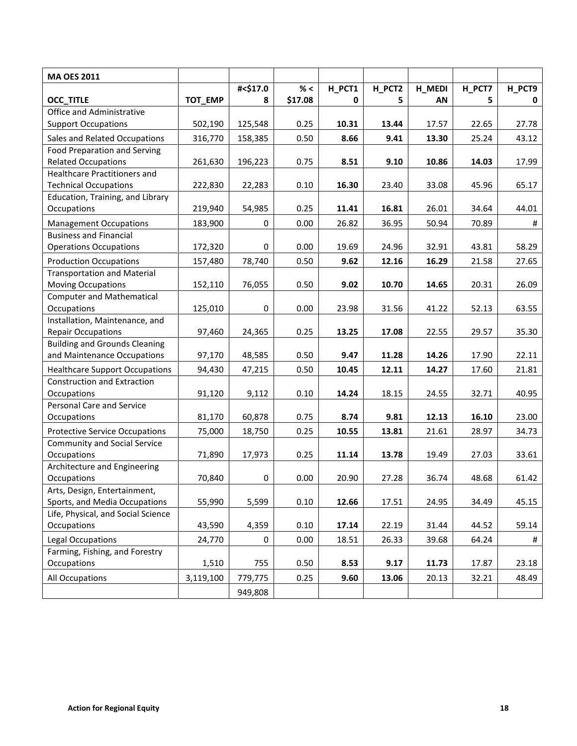| <b>MA OES 2011</b>                                                  |           |             |         |        |        |        |        |        |
|---------------------------------------------------------------------|-----------|-------------|---------|--------|--------|--------|--------|--------|
|                                                                     |           | #<\$17.0    | $\%$ <  | H_PCT1 | H_PCT2 | H_MEDI | H_PCT7 | H_PCT9 |
| <b>OCC_TITLE</b>                                                    | TOT_EMP   | 8           | \$17.08 | 0      | 5      | AN     | 5      | 0      |
| Office and Administrative                                           |           |             |         |        |        |        |        |        |
| <b>Support Occupations</b>                                          | 502,190   | 125,548     | 0.25    | 10.31  | 13.44  | 17.57  | 22.65  | 27.78  |
| Sales and Related Occupations                                       | 316,770   | 158,385     | 0.50    | 8.66   | 9.41   | 13.30  | 25.24  | 43.12  |
| <b>Food Preparation and Serving</b>                                 |           |             |         |        |        |        |        |        |
| <b>Related Occupations</b>                                          | 261,630   | 196,223     | 0.75    | 8.51   | 9.10   | 10.86  | 14.03  | 17.99  |
| Healthcare Practitioners and                                        |           |             |         |        |        |        |        |        |
| <b>Technical Occupations</b>                                        | 222,830   | 22,283      | 0.10    | 16.30  | 23.40  | 33.08  | 45.96  | 65.17  |
| Education, Training, and Library                                    |           |             |         |        |        |        |        |        |
| Occupations                                                         | 219,940   | 54,985      | 0.25    | 11.41  | 16.81  | 26.01  | 34.64  | 44.01  |
| <b>Management Occupations</b>                                       | 183,900   | $\mathbf 0$ | 0.00    | 26.82  | 36.95  | 50.94  | 70.89  | $\#$   |
| <b>Business and Financial</b>                                       |           |             |         |        |        |        |        |        |
| <b>Operations Occupations</b>                                       | 172,320   | 0           | 0.00    | 19.69  | 24.96  | 32.91  | 43.81  | 58.29  |
| <b>Production Occupations</b>                                       | 157,480   | 78,740      | 0.50    | 9.62   | 12.16  | 16.29  | 21.58  | 27.65  |
| <b>Transportation and Material</b>                                  |           |             |         |        |        |        |        |        |
| <b>Moving Occupations</b>                                           | 152,110   | 76,055      | 0.50    | 9.02   | 10.70  | 14.65  | 20.31  | 26.09  |
| <b>Computer and Mathematical</b>                                    |           |             |         |        |        |        |        |        |
| <b>Occupations</b>                                                  | 125,010   | $\pmb{0}$   | 0.00    | 23.98  | 31.56  | 41.22  | 52.13  | 63.55  |
| Installation, Maintenance, and                                      |           |             |         |        |        |        |        |        |
| <b>Repair Occupations</b>                                           | 97,460    | 24,365      | 0.25    | 13.25  | 17.08  | 22.55  | 29.57  | 35.30  |
| <b>Building and Grounds Cleaning</b><br>and Maintenance Occupations |           |             |         |        | 11.28  | 14.26  |        |        |
|                                                                     | 97,170    | 48,585      | 0.50    | 9.47   |        |        | 17.90  | 22.11  |
| <b>Healthcare Support Occupations</b>                               | 94,430    | 47,215      | 0.50    | 10.45  | 12.11  | 14.27  | 17.60  | 21.81  |
| <b>Construction and Extraction</b>                                  |           |             |         |        |        |        |        |        |
| Occupations<br>Personal Care and Service                            | 91,120    | 9,112       | 0.10    | 14.24  | 18.15  | 24.55  | 32.71  | 40.95  |
| Occupations                                                         | 81,170    | 60,878      | 0.75    | 8.74   | 9.81   | 12.13  | 16.10  | 23.00  |
|                                                                     |           |             |         |        |        |        |        |        |
| <b>Protective Service Occupations</b>                               | 75,000    | 18,750      | 0.25    | 10.55  | 13.81  | 21.61  | 28.97  | 34.73  |
| <b>Community and Social Service</b><br>Occupations                  | 71,890    | 17,973      | 0.25    | 11.14  | 13.78  | 19.49  | 27.03  | 33.61  |
| Architecture and Engineering                                        |           |             |         |        |        |        |        |        |
| Occupations                                                         | 70,840    | 0           | 0.00    | 20.90  | 27.28  | 36.74  | 48.68  | 61.42  |
| Arts, Design, Entertainment,                                        |           |             |         |        |        |        |        |        |
| Sports, and Media Occupations                                       | 55,990    | 5,599       | 0.10    | 12.66  | 17.51  | 24.95  | 34.49  | 45.15  |
| Life, Physical, and Social Science                                  |           |             |         |        |        |        |        |        |
| Occupations                                                         | 43,590    | 4,359       | 0.10    | 17.14  | 22.19  | 31.44  | 44.52  | 59.14  |
| <b>Legal Occupations</b>                                            | 24,770    | $\mathbf 0$ | 0.00    | 18.51  | 26.33  | 39.68  | 64.24  | #      |
| Farming, Fishing, and Forestry                                      |           |             |         |        |        |        |        |        |
| Occupations                                                         | 1,510     | 755         | 0.50    | 8.53   | 9.17   | 11.73  | 17.87  | 23.18  |
| All Occupations                                                     | 3,119,100 | 779,775     | 0.25    | 9.60   | 13.06  | 20.13  | 32.21  | 48.49  |
|                                                                     |           |             |         |        |        |        |        |        |
|                                                                     |           | 949,808     |         |        |        |        |        |        |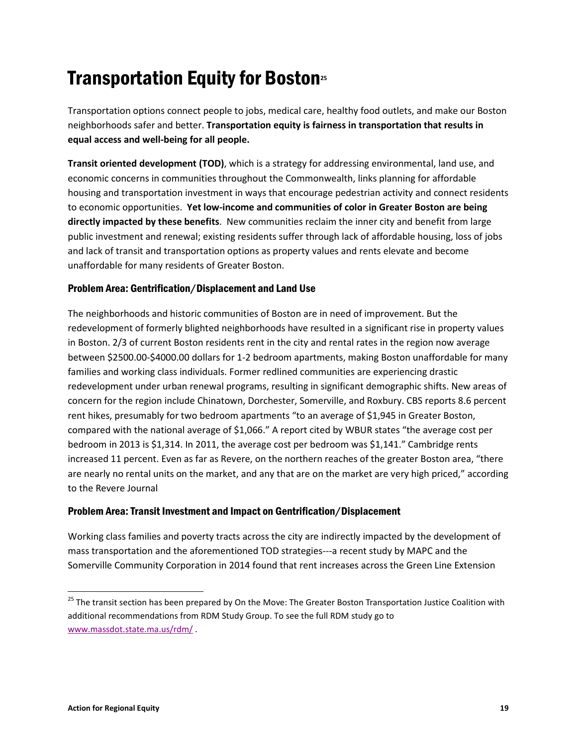# Transportation Equity for Boston<sup>25</sup>

Transportation options connect people to jobs, medical care, healthy food outlets, and make our Boston neighborhoods safer and better. Transportation equity is fairness in transportation that results in equal access and well-being for all people.

Transit oriented development (TOD), which is a strategy for addressing environmental, land use, and economic concerns in communities throughout the Commonwealth, links planning for affordable housing and transportation investment in ways that encourage pedestrian activity and connect residents to economic opportunities. Yet low-income and communities of color in Greater Boston are being directly impacted by these benefits. New communities reclaim the inner city and benefit from large public investment and renewal; existing residents suffer through lack of affordable housing, loss of jobs and lack of transit and transportation options as property values and rents elevate and become unaffordable for many residents of Greater Boston.

# Problem Area: Gentrification/Displacement and Land Use

The neighborhoods and historic communities of Boston are in need of improvement. But the redevelopment of formerly blighted neighborhoods have resulted in a significant rise in property values in Boston. 2/3 of current Boston residents rent in the city and rental rates in the region now average between \$2500.00-\$4000.00 dollars for 1-2 bedroom apartments, making Boston unaffordable for many families and working class individuals. Former redlined communities are experiencing drastic redevelopment under urban renewal programs, resulting in significant demographic shifts. New areas of concern for the region include Chinatown, Dorchester, Somerville, and Roxbury. CBS reports 8.6 percent rent hikes, presumably for two bedroom apartments "to an average of \$1,945 in Greater Boston, compared with the national average of \$1,066." A report cited by WBUR states "the average cost per bedroom in 2013 is \$1,314. In 2011, the average cost per bedroom was \$1,141." Cambridge rents increased 11 percent. Even as far as Revere, on the northern reaches of the greater Boston area, "there are nearly no rental units on the market, and any that are on the market are very high priced," according to the Revere Journal

# Problem Area: Transit Investment and Impact on Gentrification/Displacement

Working class families and poverty tracts across the city are indirectly impacted by the development of mass transportation and the aforementioned TOD strategies---a recent study by MAPC and the Somerville Community Corporation in 2014 found that rent increases across the Green Line Extension

<sup>&</sup>lt;sup>25</sup> The transit section has been prepared by On the Move: The Greater Boston Transportation Justice Coalition with additional recommendations from RDM Study Group. To see the full RDM study go to www.massdot.state.ma.us/rdm/ .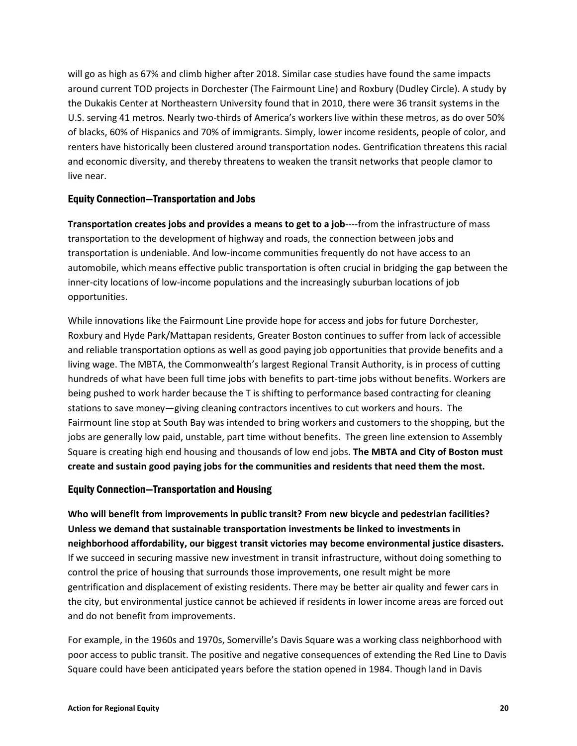will go as high as 67% and climb higher after 2018. Similar case studies have found the same impacts around current TOD projects in Dorchester (The Fairmount Line) and Roxbury (Dudley Circle). A study by the Dukakis Center at Northeastern University found that in 2010, there were 36 transit systems in the U.S. serving 41 metros. Nearly two-thirds of America's workers live within these metros, as do over 50% of blacks, 60% of Hispanics and 70% of immigrants. Simply, lower income residents, people of color, and renters have historically been clustered around transportation nodes. Gentrification threatens this racial and economic diversity, and thereby threatens to weaken the transit networks that people clamor to live near.

#### Equity Connection—Transportation and Jobs

Transportation creates jobs and provides a means to get to a job----from the infrastructure of mass transportation to the development of highway and roads, the connection between jobs and transportation is undeniable. And low-income communities frequently do not have access to an automobile, which means effective public transportation is often crucial in bridging the gap between the inner-city locations of low-income populations and the increasingly suburban locations of job opportunities.

While innovations like the Fairmount Line provide hope for access and jobs for future Dorchester, Roxbury and Hyde Park/Mattapan residents, Greater Boston continues to suffer from lack of accessible and reliable transportation options as well as good paying job opportunities that provide benefits and a living wage. The MBTA, the Commonwealth's largest Regional Transit Authority, is in process of cutting hundreds of what have been full time jobs with benefits to part-time jobs without benefits. Workers are being pushed to work harder because the T is shifting to performance based contracting for cleaning stations to save money—giving cleaning contractors incentives to cut workers and hours. The Fairmount line stop at South Bay was intended to bring workers and customers to the shopping, but the jobs are generally low paid, unstable, part time without benefits. The green line extension to Assembly Square is creating high end housing and thousands of low end jobs. The MBTA and City of Boston must create and sustain good paying jobs for the communities and residents that need them the most.

# Equity Connection—Transportation and Housing

Who will benefit from improvements in public transit? From new bicycle and pedestrian facilities? Unless we demand that sustainable transportation investments be linked to investments in neighborhood affordability, our biggest transit victories may become environmental justice disasters. If we succeed in securing massive new investment in transit infrastructure, without doing something to control the price of housing that surrounds those improvements, one result might be more gentrification and displacement of existing residents. There may be better air quality and fewer cars in the city, but environmental justice cannot be achieved if residents in lower income areas are forced out and do not benefit from improvements.

For example, in the 1960s and 1970s, Somerville's Davis Square was a working class neighborhood with poor access to public transit. The positive and negative consequences of extending the Red Line to Davis Square could have been anticipated years before the station opened in 1984. Though land in Davis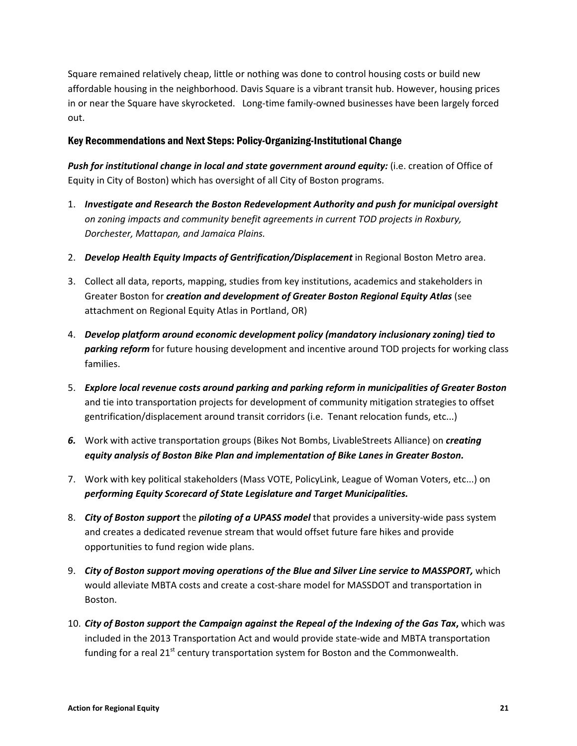Square remained relatively cheap, little or nothing was done to control housing costs or build new affordable housing in the neighborhood. Davis Square is a vibrant transit hub. However, housing prices in or near the Square have skyrocketed. Long-time family-owned businesses have been largely forced out.

## Key Recommendations and Next Steps: Policy-Organizing-Institutional Change

Push for institutional change in local and state government around equity: (i.e. creation of Office of Equity in City of Boston) which has oversight of all City of Boston programs.

- 1. Investigate and Research the Boston Redevelopment Authority and push for municipal oversight on zoning impacts and community benefit agreements in current TOD projects in Roxbury, Dorchester, Mattapan, and Jamaica Plains.
- 2. Develop Health Equity Impacts of Gentrification/Displacement in Regional Boston Metro area.
- 3. Collect all data, reports, mapping, studies from key institutions, academics and stakeholders in Greater Boston for creation and development of Greater Boston Regional Equity Atlas (see attachment on Regional Equity Atlas in Portland, OR)
- 4. Develop platform around economic development policy (mandatory inclusionary zoning) tied to parking reform for future housing development and incentive around TOD projects for working class families.
- 5. Explore local revenue costs around parking and parking reform in municipalities of Greater Boston and tie into transportation projects for development of community mitigation strategies to offset gentrification/displacement around transit corridors (i.e. Tenant relocation funds, etc...)
- 6. Work with active transportation groups (Bikes Not Bombs, LivableStreets Alliance) on *creating* equity analysis of Boston Bike Plan and implementation of Bike Lanes in Greater Boston.
- 7. Work with key political stakeholders (Mass VOTE, PolicyLink, League of Woman Voters, etc...) on performing Equity Scorecard of State Legislature and Target Municipalities.
- 8. City of Boston support the piloting of a UPASS model that provides a university-wide pass system and creates a dedicated revenue stream that would offset future fare hikes and provide opportunities to fund region wide plans.
- 9. City of Boston support moving operations of the Blue and Silver Line service to MASSPORT, which would alleviate MBTA costs and create a cost-share model for MASSDOT and transportation in Boston.
- 10. City of Boston support the Campaign against the Repeal of the Indexing of the Gas Tax, which was included in the 2013 Transportation Act and would provide state-wide and MBTA transportation funding for a real  $21^{st}$  century transportation system for Boston and the Commonwealth.